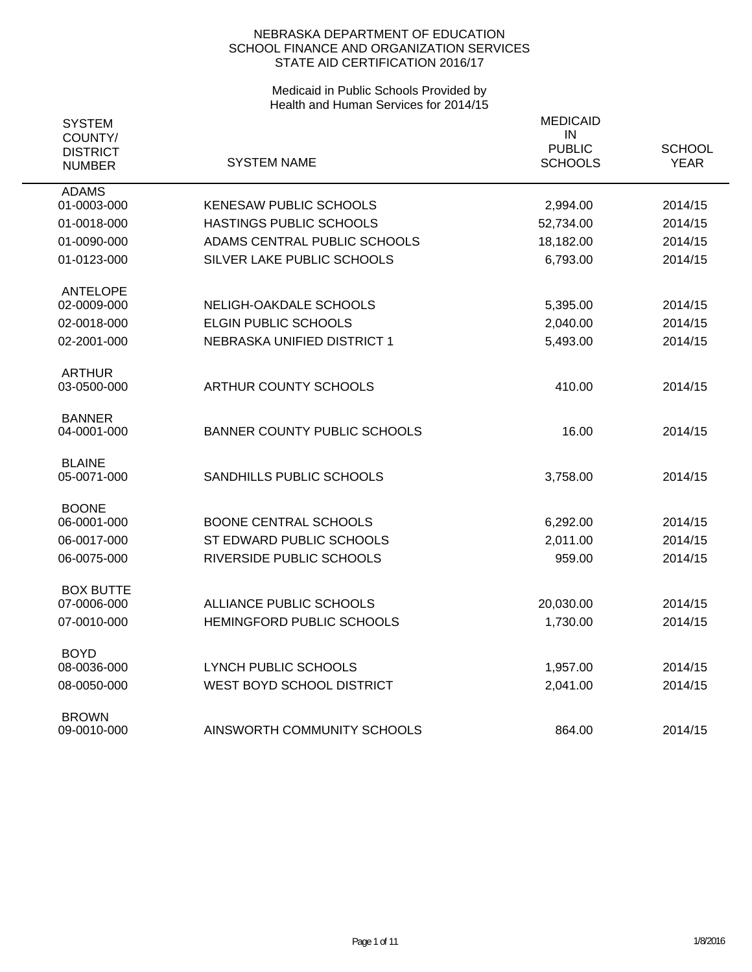| <b>SYSTEM</b><br>COUNTY/<br><b>DISTRICT</b><br><b>NUMBER</b> | <b>SYSTEM NAME</b>                  | <b>MEDICAID</b><br>IN<br><b>PUBLIC</b><br><b>SCHOOLS</b> | <b>SCHOOL</b><br><b>YEAR</b> |
|--------------------------------------------------------------|-------------------------------------|----------------------------------------------------------|------------------------------|
| <b>ADAMS</b><br>01-0003-000                                  | <b>KENESAW PUBLIC SCHOOLS</b>       | 2,994.00                                                 | 2014/15                      |
|                                                              |                                     |                                                          |                              |
| 01-0018-000                                                  | HASTINGS PUBLIC SCHOOLS             | 52,734.00                                                | 2014/15                      |
| 01-0090-000                                                  | ADAMS CENTRAL PUBLIC SCHOOLS        | 18,182.00                                                | 2014/15                      |
| 01-0123-000                                                  | SILVER LAKE PUBLIC SCHOOLS          | 6,793.00                                                 | 2014/15                      |
| <b>ANTELOPE</b>                                              |                                     |                                                          |                              |
| 02-0009-000                                                  | NELIGH-OAKDALE SCHOOLS              | 5,395.00                                                 | 2014/15                      |
| 02-0018-000                                                  | <b>ELGIN PUBLIC SCHOOLS</b>         | 2,040.00                                                 | 2014/15                      |
| 02-2001-000                                                  | NEBRASKA UNIFIED DISTRICT 1         | 5,493.00                                                 | 2014/15                      |
| <b>ARTHUR</b>                                                |                                     |                                                          |                              |
| 03-0500-000                                                  | <b>ARTHUR COUNTY SCHOOLS</b>        | 410.00                                                   | 2014/15                      |
| <b>BANNER</b>                                                |                                     |                                                          |                              |
| 04-0001-000                                                  | <b>BANNER COUNTY PUBLIC SCHOOLS</b> | 16.00                                                    | 2014/15                      |
| <b>BLAINE</b>                                                |                                     |                                                          |                              |
| 05-0071-000                                                  | SANDHILLS PUBLIC SCHOOLS            | 3,758.00                                                 | 2014/15                      |
| <b>BOONE</b>                                                 |                                     |                                                          |                              |
| 06-0001-000                                                  | <b>BOONE CENTRAL SCHOOLS</b>        | 6,292.00                                                 | 2014/15                      |
| 06-0017-000                                                  | ST EDWARD PUBLIC SCHOOLS            | 2,011.00                                                 | 2014/15                      |
| 06-0075-000                                                  | RIVERSIDE PUBLIC SCHOOLS            | 959.00                                                   | 2014/15                      |
| <b>BOX BUTTE</b>                                             |                                     |                                                          |                              |
| 07-0006-000                                                  | ALLIANCE PUBLIC SCHOOLS             | 20,030.00                                                | 2014/15                      |
| 07-0010-000                                                  | HEMINGFORD PUBLIC SCHOOLS           | 1,730.00                                                 | 2014/15                      |
| <b>BOYD</b>                                                  |                                     |                                                          |                              |
| 08-0036-000                                                  | <b>LYNCH PUBLIC SCHOOLS</b>         | 1,957.00                                                 | 2014/15                      |
| 08-0050-000                                                  | WEST BOYD SCHOOL DISTRICT           | 2,041.00                                                 | 2014/15                      |
| <b>BROWN</b>                                                 |                                     |                                                          |                              |
| 09-0010-000                                                  | AINSWORTH COMMUNITY SCHOOLS         | 864.00                                                   | 2014/15                      |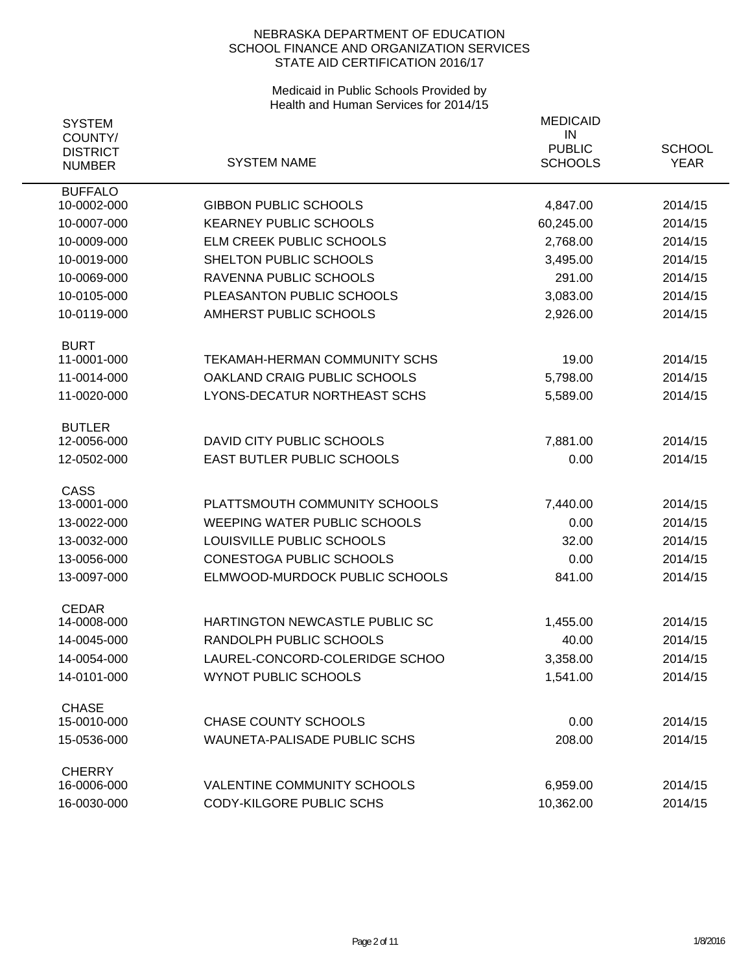| <b>SYSTEM</b>                |                                     | <b>MEDICAID</b>     |               |
|------------------------------|-------------------------------------|---------------------|---------------|
| COUNTY/<br><b>DISTRICT</b>   |                                     | IN<br><b>PUBLIC</b> | <b>SCHOOL</b> |
| <b>NUMBER</b>                | <b>SYSTEM NAME</b>                  | <b>SCHOOLS</b>      | <b>YEAR</b>   |
| <b>BUFFALO</b>               |                                     |                     |               |
| 10-0002-000                  | <b>GIBBON PUBLIC SCHOOLS</b>        | 4,847.00            | 2014/15       |
| 10-0007-000                  | <b>KEARNEY PUBLIC SCHOOLS</b>       | 60,245.00           | 2014/15       |
| 10-0009-000                  | ELM CREEK PUBLIC SCHOOLS            | 2,768.00            | 2014/15       |
| 10-0019-000                  | SHELTON PUBLIC SCHOOLS              | 3,495.00            | 2014/15       |
| 10-0069-000                  | RAVENNA PUBLIC SCHOOLS              | 291.00              | 2014/15       |
| 10-0105-000                  | PLEASANTON PUBLIC SCHOOLS           | 3,083.00            | 2014/15       |
| 10-0119-000                  | AMHERST PUBLIC SCHOOLS              | 2,926.00            | 2014/15       |
| <b>BURT</b>                  |                                     |                     |               |
| 11-0001-000                  | TEKAMAH-HERMAN COMMUNITY SCHS       | 19.00               | 2014/15       |
| 11-0014-000                  | OAKLAND CRAIG PUBLIC SCHOOLS        | 5,798.00            | 2014/15       |
| 11-0020-000                  | <b>LYONS-DECATUR NORTHEAST SCHS</b> | 5,589.00            | 2014/15       |
| <b>BUTLER</b>                | DAVID CITY PUBLIC SCHOOLS           |                     |               |
| 12-0056-000                  |                                     | 7,881.00            | 2014/15       |
| 12-0502-000                  | EAST BUTLER PUBLIC SCHOOLS          | 0.00                | 2014/15       |
| <b>CASS</b><br>13-0001-000   | PLATTSMOUTH COMMUNITY SCHOOLS       | 7,440.00            | 2014/15       |
| 13-0022-000                  | <b>WEEPING WATER PUBLIC SCHOOLS</b> | 0.00                | 2014/15       |
| 13-0032-000                  | LOUISVILLE PUBLIC SCHOOLS           | 32.00               | 2014/15       |
| 13-0056-000                  | <b>CONESTOGA PUBLIC SCHOOLS</b>     | 0.00                | 2014/15       |
| 13-0097-000                  | ELMWOOD-MURDOCK PUBLIC SCHOOLS      | 841.00              | 2014/15       |
|                              |                                     |                     |               |
| <b>CEDAR</b><br>14-0008-000  | HARTINGTON NEWCASTLE PUBLIC SC      | 1,455.00            | 2014/15       |
| 14-0045-000                  | RANDOLPH PUBLIC SCHOOLS             | 40.00               | 2014/15       |
| 14-0054-000                  | LAUREL-CONCORD-COLERIDGE SCHOO      | 3,358.00            | 2014/15       |
| 14-0101-000                  | <b>WYNOT PUBLIC SCHOOLS</b>         | 1,541.00            | 2014/15       |
|                              |                                     |                     |               |
| <b>CHASE</b><br>15-0010-000  | <b>CHASE COUNTY SCHOOLS</b>         | 0.00                | 2014/15       |
| 15-0536-000                  | <b>WAUNETA-PALISADE PUBLIC SCHS</b> | 208.00              | 2014/15       |
|                              |                                     |                     |               |
| <b>CHERRY</b><br>16-0006-000 | <b>VALENTINE COMMUNITY SCHOOLS</b>  | 6,959.00            | 2014/15       |
| 16-0030-000                  | CODY-KILGORE PUBLIC SCHS            | 10,362.00           | 2014/15       |
|                              |                                     |                     |               |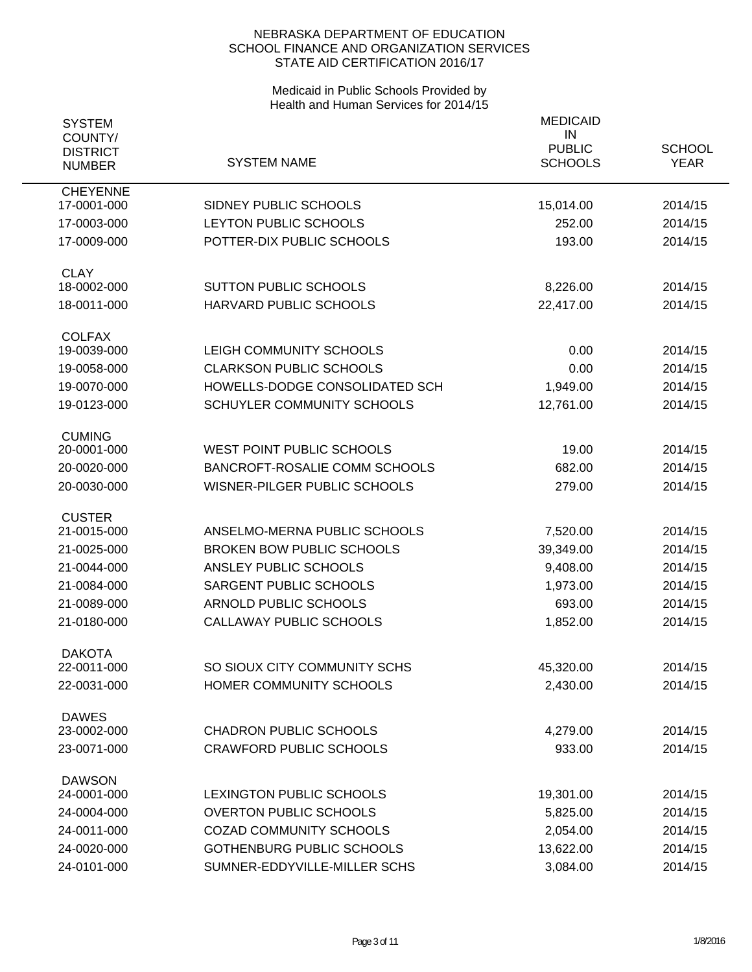| <b>SYSTEM</b><br>COUNTY/<br><b>DISTRICT</b><br><b>NUMBER</b> | <b>SYSTEM NAME</b>                                 | <b>MEDICAID</b><br>IN<br><b>PUBLIC</b><br><b>SCHOOLS</b> | <b>SCHOOL</b><br><b>YEAR</b> |
|--------------------------------------------------------------|----------------------------------------------------|----------------------------------------------------------|------------------------------|
| <b>CHEYENNE</b>                                              |                                                    |                                                          |                              |
| 17-0001-000                                                  | SIDNEY PUBLIC SCHOOLS                              | 15,014.00                                                | 2014/15                      |
| 17-0003-000<br>17-0009-000                                   | LEYTON PUBLIC SCHOOLS<br>POTTER-DIX PUBLIC SCHOOLS | 252.00<br>193.00                                         | 2014/15<br>2014/15           |
|                                                              |                                                    |                                                          |                              |
| <b>CLAY</b><br>18-0002-000                                   | <b>SUTTON PUBLIC SCHOOLS</b>                       | 8,226.00                                                 | 2014/15                      |
| 18-0011-000                                                  | HARVARD PUBLIC SCHOOLS                             | 22,417.00                                                | 2014/15                      |
| <b>COLFAX</b>                                                |                                                    |                                                          |                              |
| 19-0039-000                                                  | LEIGH COMMUNITY SCHOOLS                            | 0.00                                                     | 2014/15                      |
| 19-0058-000                                                  | <b>CLARKSON PUBLIC SCHOOLS</b>                     | 0.00                                                     | 2014/15                      |
| 19-0070-000                                                  | HOWELLS-DODGE CONSOLIDATED SCH                     | 1,949.00                                                 | 2014/15                      |
| 19-0123-000                                                  | <b>SCHUYLER COMMUNITY SCHOOLS</b>                  | 12,761.00                                                | 2014/15                      |
|                                                              |                                                    |                                                          |                              |
| <b>CUMING</b>                                                |                                                    |                                                          |                              |
| 20-0001-000                                                  | WEST POINT PUBLIC SCHOOLS                          | 19.00                                                    | 2014/15                      |
| 20-0020-000                                                  | <b>BANCROFT-ROSALIE COMM SCHOOLS</b>               | 682.00                                                   | 2014/15                      |
| 20-0030-000                                                  | WISNER-PILGER PUBLIC SCHOOLS                       | 279.00                                                   | 2014/15                      |
| <b>CUSTER</b>                                                |                                                    |                                                          |                              |
| 21-0015-000                                                  | ANSELMO-MERNA PUBLIC SCHOOLS                       | 7,520.00                                                 | 2014/15                      |
| 21-0025-000                                                  | <b>BROKEN BOW PUBLIC SCHOOLS</b>                   | 39,349.00                                                | 2014/15                      |
| 21-0044-000                                                  | ANSLEY PUBLIC SCHOOLS                              | 9,408.00                                                 | 2014/15                      |
| 21-0084-000                                                  | SARGENT PUBLIC SCHOOLS                             | 1,973.00                                                 | 2014/15                      |
| 21-0089-000                                                  | <b>ARNOLD PUBLIC SCHOOLS</b>                       | 693.00                                                   | 2014/15                      |
| 21-0180-000                                                  | CALLAWAY PUBLIC SCHOOLS                            | 1,852.00                                                 | 2014/15                      |
|                                                              |                                                    |                                                          |                              |
| <b>DAKOTA</b><br>22-0011-000                                 | SO SIOUX CITY COMMUNITY SCHS                       | 45,320.00                                                | 2014/15                      |
| 22-0031-000                                                  | HOMER COMMUNITY SCHOOLS                            | 2,430.00                                                 | 2014/15                      |
|                                                              |                                                    |                                                          |                              |
| <b>DAWES</b>                                                 |                                                    |                                                          |                              |
| 23-0002-000                                                  | <b>CHADRON PUBLIC SCHOOLS</b>                      | 4,279.00                                                 | 2014/15                      |
| 23-0071-000                                                  | <b>CRAWFORD PUBLIC SCHOOLS</b>                     | 933.00                                                   | 2014/15                      |
| <b>DAWSON</b>                                                |                                                    |                                                          |                              |
| 24-0001-000                                                  | LEXINGTON PUBLIC SCHOOLS                           | 19,301.00                                                | 2014/15                      |
| 24-0004-000                                                  | <b>OVERTON PUBLIC SCHOOLS</b>                      | 5,825.00                                                 | 2014/15                      |
| 24-0011-000                                                  | <b>COZAD COMMUNITY SCHOOLS</b>                     | 2,054.00                                                 | 2014/15                      |
| 24-0020-000                                                  | <b>GOTHENBURG PUBLIC SCHOOLS</b>                   | 13,622.00                                                | 2014/15                      |
| 24-0101-000                                                  | SUMNER-EDDYVILLE-MILLER SCHS                       | 3,084.00                                                 | 2014/15                      |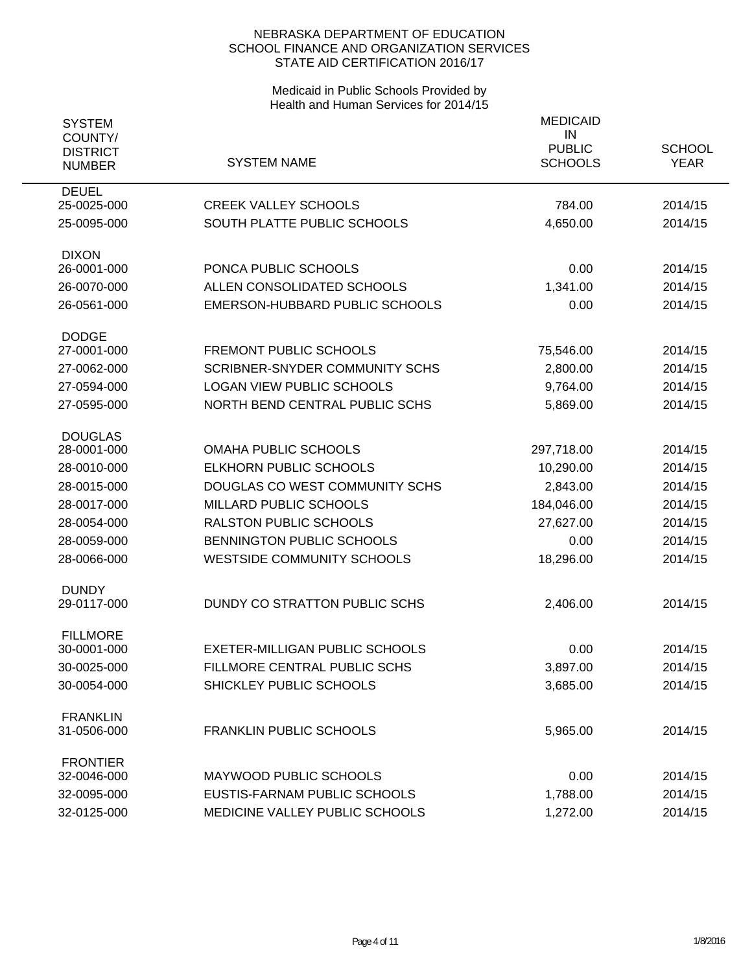| <b>SYSTEM</b><br>COUNTY/         |                                       | <b>MEDICAID</b><br>IN           |                              |  |
|----------------------------------|---------------------------------------|---------------------------------|------------------------------|--|
| <b>DISTRICT</b><br><b>NUMBER</b> | <b>SYSTEM NAME</b>                    | <b>PUBLIC</b><br><b>SCHOOLS</b> | <b>SCHOOL</b><br><b>YEAR</b> |  |
| <b>DEUEL</b><br>25-0025-000      | <b>CREEK VALLEY SCHOOLS</b>           | 784.00                          | 2014/15                      |  |
| 25-0095-000                      | SOUTH PLATTE PUBLIC SCHOOLS           | 4,650.00                        | 2014/15                      |  |
| <b>DIXON</b>                     |                                       |                                 |                              |  |
| 26-0001-000                      | PONCA PUBLIC SCHOOLS                  | 0.00                            | 2014/15                      |  |
| 26-0070-000                      | ALLEN CONSOLIDATED SCHOOLS            | 1,341.00                        | 2014/15                      |  |
| 26-0561-000                      | EMERSON-HUBBARD PUBLIC SCHOOLS        | 0.00                            | 2014/15                      |  |
| <b>DODGE</b><br>27-0001-000      | <b>FREMONT PUBLIC SCHOOLS</b>         | 75,546.00                       | 2014/15                      |  |
| 27-0062-000                      | <b>SCRIBNER-SNYDER COMMUNITY SCHS</b> | 2,800.00                        | 2014/15                      |  |
| 27-0594-000                      | <b>LOGAN VIEW PUBLIC SCHOOLS</b>      | 9,764.00                        | 2014/15                      |  |
| 27-0595-000                      | NORTH BEND CENTRAL PUBLIC SCHS        | 5,869.00                        | 2014/15                      |  |
| <b>DOUGLAS</b>                   |                                       |                                 |                              |  |
| 28-0001-000                      | <b>OMAHA PUBLIC SCHOOLS</b>           | 297,718.00                      | 2014/15                      |  |
| 28-0010-000                      | <b>ELKHORN PUBLIC SCHOOLS</b>         | 10,290.00                       | 2014/15                      |  |
| 28-0015-000                      | DOUGLAS CO WEST COMMUNITY SCHS        | 2,843.00                        | 2014/15                      |  |
| 28-0017-000                      | MILLARD PUBLIC SCHOOLS                | 184,046.00                      | 2014/15                      |  |
| 28-0054-000                      | <b>RALSTON PUBLIC SCHOOLS</b>         | 27,627.00                       | 2014/15                      |  |
| 28-0059-000                      | BENNINGTON PUBLIC SCHOOLS             | 0.00                            | 2014/15                      |  |
| 28-0066-000                      | <b>WESTSIDE COMMUNITY SCHOOLS</b>     | 18,296.00                       | 2014/15                      |  |
| <b>DUNDY</b><br>29-0117-000      | DUNDY CO STRATTON PUBLIC SCHS         | 2,406.00                        | 2014/15                      |  |
| <b>FILLMORE</b>                  |                                       |                                 |                              |  |
| 30-0001-000                      | <b>EXETER-MILLIGAN PUBLIC SCHOOLS</b> | 0.00                            | 2014/15                      |  |
| 30-0025-000                      | FILLMORE CENTRAL PUBLIC SCHS          | 3,897.00                        | 2014/15                      |  |
| 30-0054-000                      | SHICKLEY PUBLIC SCHOOLS               | 3,685.00                        | 2014/15                      |  |
| <b>FRANKLIN</b><br>31-0506-000   | <b>FRANKLIN PUBLIC SCHOOLS</b>        | 5,965.00                        | 2014/15                      |  |
| <b>FRONTIER</b><br>32-0046-000   | MAYWOOD PUBLIC SCHOOLS                | 0.00                            | 2014/15                      |  |
| 32-0095-000                      | EUSTIS-FARNAM PUBLIC SCHOOLS          | 1,788.00                        | 2014/15                      |  |
| 32-0125-000                      | MEDICINE VALLEY PUBLIC SCHOOLS        | 1,272.00                        | 2014/15                      |  |
|                                  |                                       |                                 |                              |  |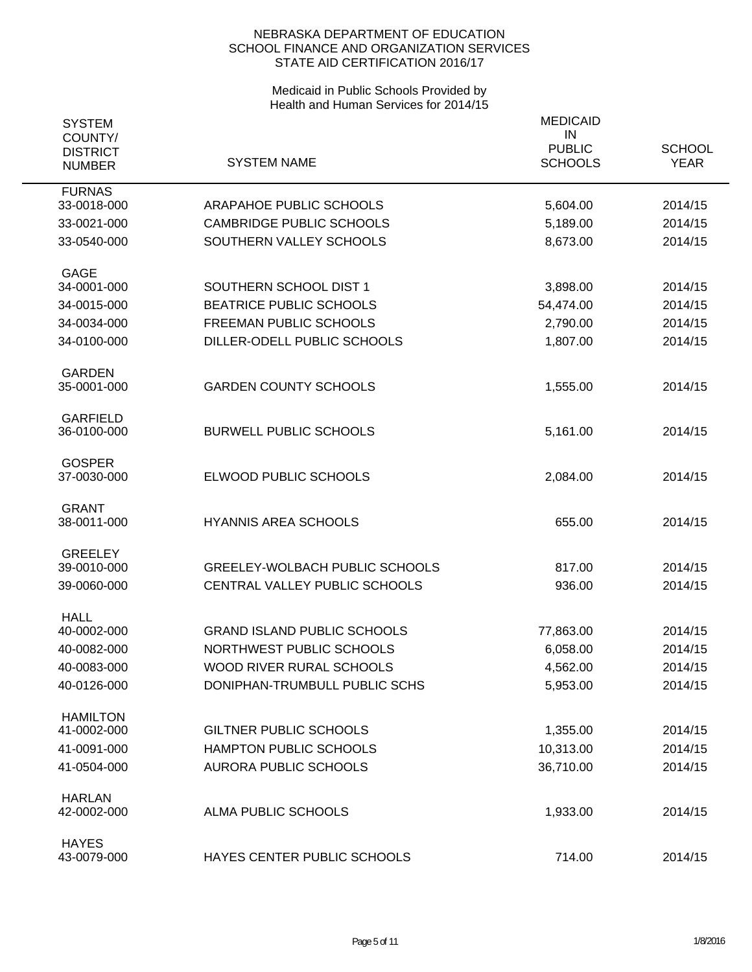| <b>SYSTEM</b><br>COUNTY/         |                                       | <b>MEDICAID</b><br>IN           |                              |
|----------------------------------|---------------------------------------|---------------------------------|------------------------------|
| <b>DISTRICT</b><br><b>NUMBER</b> | <b>SYSTEM NAME</b>                    | <b>PUBLIC</b><br><b>SCHOOLS</b> | <b>SCHOOL</b><br><b>YEAR</b> |
| <b>FURNAS</b><br>33-0018-000     | ARAPAHOE PUBLIC SCHOOLS               | 5,604.00                        | 2014/15                      |
| 33-0021-000                      | <b>CAMBRIDGE PUBLIC SCHOOLS</b>       | 5,189.00                        | 2014/15                      |
| 33-0540-000                      | SOUTHERN VALLEY SCHOOLS               | 8,673.00                        | 2014/15                      |
| <b>GAGE</b><br>34-0001-000       | SOUTHERN SCHOOL DIST 1                | 3,898.00                        | 2014/15                      |
| 34-0015-000                      | BEATRICE PUBLIC SCHOOLS               | 54,474.00                       | 2014/15                      |
| 34-0034-000                      | FREEMAN PUBLIC SCHOOLS                | 2,790.00                        | 2014/15                      |
| 34-0100-000                      | DILLER-ODELL PUBLIC SCHOOLS           | 1,807.00                        | 2014/15                      |
| <b>GARDEN</b><br>35-0001-000     | <b>GARDEN COUNTY SCHOOLS</b>          | 1,555.00                        | 2014/15                      |
| <b>GARFIELD</b><br>36-0100-000   | <b>BURWELL PUBLIC SCHOOLS</b>         | 5,161.00                        | 2014/15                      |
| <b>GOSPER</b><br>37-0030-000     | ELWOOD PUBLIC SCHOOLS                 | 2,084.00                        | 2014/15                      |
| <b>GRANT</b><br>38-0011-000      | <b>HYANNIS AREA SCHOOLS</b>           | 655.00                          | 2014/15                      |
| <b>GREELEY</b><br>39-0010-000    | <b>GREELEY-WOLBACH PUBLIC SCHOOLS</b> | 817.00                          | 2014/15                      |
| 39-0060-000                      | CENTRAL VALLEY PUBLIC SCHOOLS         | 936.00                          | 2014/15                      |
| <b>HALL</b><br>40-0002-000       | <b>GRAND ISLAND PUBLIC SCHOOLS</b>    | 77,863.00                       | 2014/15                      |
| 40-0082-000                      | NORTHWEST PUBLIC SCHOOLS              | 6,058.00                        | 2014/15                      |
| 40-0083-000                      | WOOD RIVER RURAL SCHOOLS              | 4,562.00                        | 2014/15                      |
| 40-0126-000                      | DONIPHAN-TRUMBULL PUBLIC SCHS         | 5,953.00                        | 2014/15                      |
| <b>HAMILTON</b>                  |                                       |                                 |                              |
| 41-0002-000                      | <b>GILTNER PUBLIC SCHOOLS</b>         | 1,355.00                        | 2014/15                      |
| 41-0091-000                      | HAMPTON PUBLIC SCHOOLS                | 10,313.00                       | 2014/15                      |
| 41-0504-000                      | <b>AURORA PUBLIC SCHOOLS</b>          | 36,710.00                       | 2014/15                      |
| <b>HARLAN</b><br>42-0002-000     | ALMA PUBLIC SCHOOLS                   | 1,933.00                        | 2014/15                      |
| <b>HAYES</b><br>43-0079-000      | HAYES CENTER PUBLIC SCHOOLS           | 714.00                          | 2014/15                      |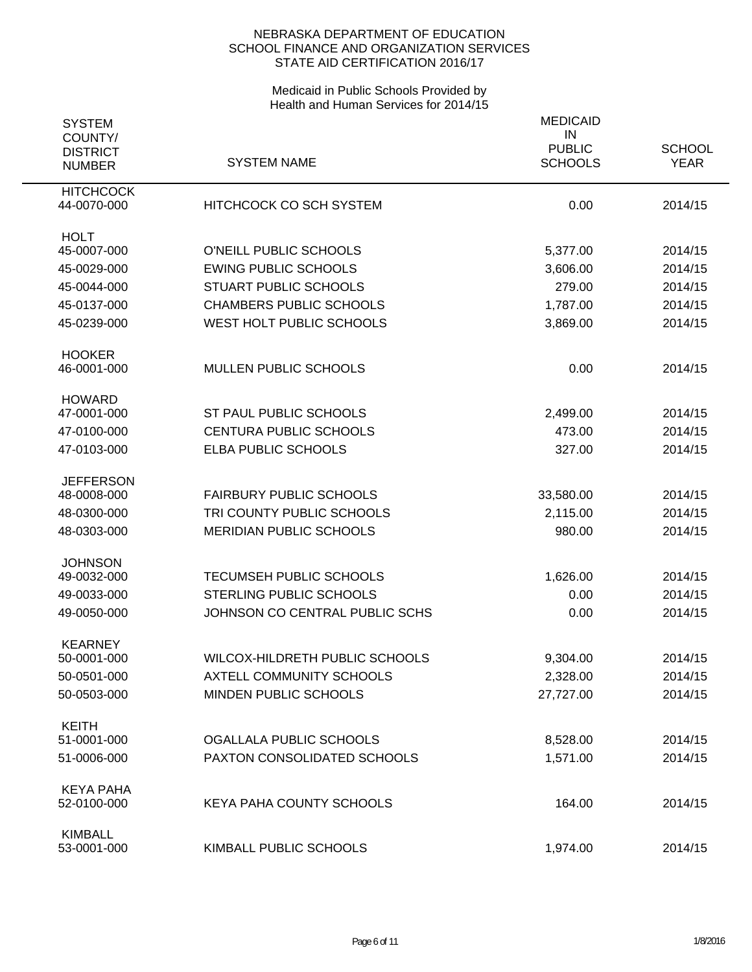| <b>SYSTEM</b>              |                                 | <b>MEDICAID</b>     |               |
|----------------------------|---------------------------------|---------------------|---------------|
| COUNTY/<br><b>DISTRICT</b> |                                 | IN<br><b>PUBLIC</b> | <b>SCHOOL</b> |
| <b>NUMBER</b>              | <b>SYSTEM NAME</b>              | <b>SCHOOLS</b>      | <b>YEAR</b>   |
| <b>HITCHCOCK</b>           |                                 |                     |               |
| 44-0070-000                | <b>HITCHCOCK CO SCH SYSTEM</b>  | 0.00                | 2014/15       |
| <b>HOLT</b>                |                                 |                     |               |
| 45-0007-000                | O'NEILL PUBLIC SCHOOLS          | 5,377.00            | 2014/15       |
| 45-0029-000                | <b>EWING PUBLIC SCHOOLS</b>     | 3,606.00            | 2014/15       |
| 45-0044-000                | <b>STUART PUBLIC SCHOOLS</b>    | 279.00              | 2014/15       |
| 45-0137-000                | <b>CHAMBERS PUBLIC SCHOOLS</b>  | 1,787.00            | 2014/15       |
| 45-0239-000                | WEST HOLT PUBLIC SCHOOLS        | 3,869.00            | 2014/15       |
| <b>HOOKER</b>              |                                 |                     |               |
| 46-0001-000                | MULLEN PUBLIC SCHOOLS           | 0.00                | 2014/15       |
| <b>HOWARD</b>              |                                 |                     |               |
| 47-0001-000                | ST PAUL PUBLIC SCHOOLS          | 2,499.00            | 2014/15       |
| 47-0100-000                | <b>CENTURA PUBLIC SCHOOLS</b>   | 473.00              | 2014/15       |
| 47-0103-000                | ELBA PUBLIC SCHOOLS             | 327.00              | 2014/15       |
| <b>JEFFERSON</b>           |                                 |                     |               |
| 48-0008-000                | <b>FAIRBURY PUBLIC SCHOOLS</b>  | 33,580.00           | 2014/15       |
| 48-0300-000                | TRI COUNTY PUBLIC SCHOOLS       | 2,115.00            | 2014/15       |
| 48-0303-000                | <b>MERIDIAN PUBLIC SCHOOLS</b>  | 980.00              | 2014/15       |
| <b>JOHNSON</b>             |                                 |                     |               |
| 49-0032-000                | <b>TECUMSEH PUBLIC SCHOOLS</b>  | 1,626.00            | 2014/15       |
| 49-0033-000                | <b>STERLING PUBLIC SCHOOLS</b>  | 0.00                | 2014/15       |
| 49-0050-000                | JOHNSON CO CENTRAL PUBLIC SCHS  | 0.00                | 2014/15       |
| <b>KEARNEY</b>             |                                 |                     |               |
| 50-0001-000                | WILCOX-HILDRETH PUBLIC SCHOOLS  | 9,304.00            | 2014/15       |
| 50-0501-000                | <b>AXTELL COMMUNITY SCHOOLS</b> | 2,328.00            | 2014/15       |
| 50-0503-000                | MINDEN PUBLIC SCHOOLS           | 27,727.00           | 2014/15       |
| <b>KEITH</b>               |                                 |                     |               |
| 51-0001-000                | OGALLALA PUBLIC SCHOOLS         | 8,528.00            | 2014/15       |
| 51-0006-000                | PAXTON CONSOLIDATED SCHOOLS     | 1,571.00            | 2014/15       |
| <b>KEYA PAHA</b>           |                                 |                     |               |
| 52-0100-000                | <b>KEYA PAHA COUNTY SCHOOLS</b> | 164.00              | 2014/15       |
| <b>KIMBALL</b>             |                                 |                     |               |
| 53-0001-000                | KIMBALL PUBLIC SCHOOLS          | 1,974.00            | 2014/15       |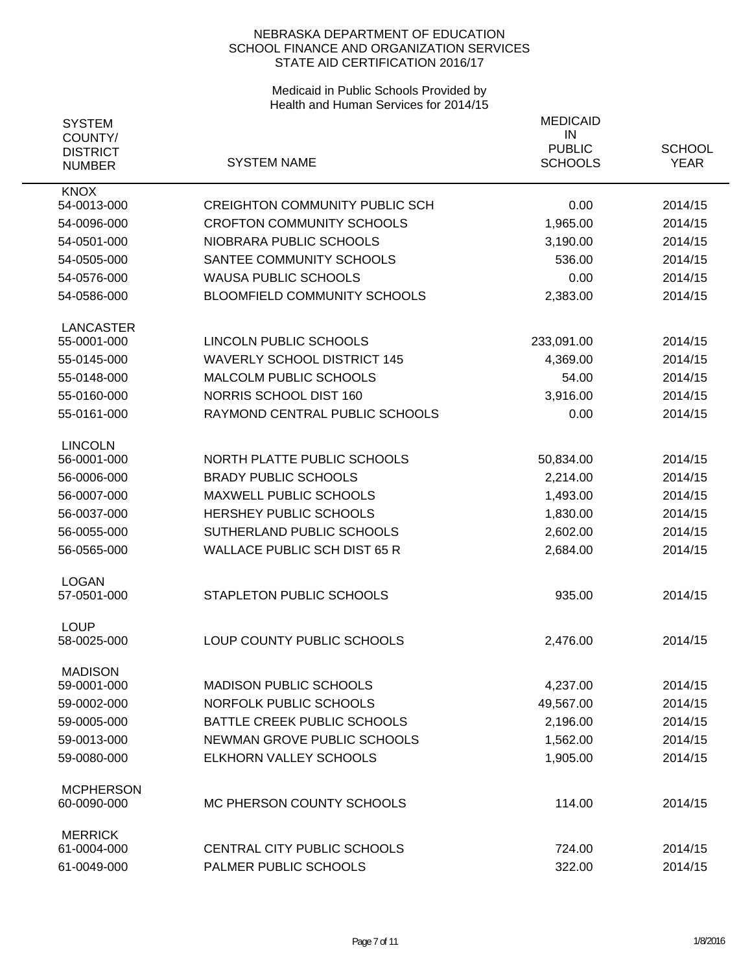| <b>SYSTEM</b>              |                                                                           | <b>MEDICAID</b>     |               |
|----------------------------|---------------------------------------------------------------------------|---------------------|---------------|
| COUNTY/<br><b>DISTRICT</b> |                                                                           | IN<br><b>PUBLIC</b> | <b>SCHOOL</b> |
| <b>NUMBER</b>              | <b>SYSTEM NAME</b>                                                        | <b>SCHOOLS</b>      | <b>YEAR</b>   |
| <b>KNOX</b>                |                                                                           |                     |               |
| 54-0013-000                | <b>CREIGHTON COMMUNITY PUBLIC SCH</b><br><b>CROFTON COMMUNITY SCHOOLS</b> | 0.00                | 2014/15       |
| 54-0096-000                | NIOBRARA PUBLIC SCHOOLS                                                   | 1,965.00            | 2014/15       |
| 54-0501-000                | SANTEE COMMUNITY SCHOOLS                                                  | 3,190.00<br>536.00  | 2014/15       |
| 54-0505-000                | <b>WAUSA PUBLIC SCHOOLS</b>                                               |                     | 2014/15       |
| 54-0576-000                |                                                                           | 0.00                | 2014/15       |
| 54-0586-000                | BLOOMFIELD COMMUNITY SCHOOLS                                              | 2,383.00            | 2014/15       |
| <b>LANCASTER</b>           |                                                                           |                     |               |
| 55-0001-000                | LINCOLN PUBLIC SCHOOLS                                                    | 233,091.00          | 2014/15       |
| 55-0145-000                | <b>WAVERLY SCHOOL DISTRICT 145</b>                                        | 4,369.00            | 2014/15       |
| 55-0148-000                | MALCOLM PUBLIC SCHOOLS                                                    | 54.00               | 2014/15       |
| 55-0160-000                | NORRIS SCHOOL DIST 160                                                    | 3,916.00            | 2014/15       |
| 55-0161-000                | RAYMOND CENTRAL PUBLIC SCHOOLS                                            | 0.00                | 2014/15       |
| <b>LINCOLN</b>             |                                                                           |                     |               |
| 56-0001-000                | NORTH PLATTE PUBLIC SCHOOLS                                               | 50,834.00           | 2014/15       |
| 56-0006-000                | <b>BRADY PUBLIC SCHOOLS</b>                                               | 2,214.00            | 2014/15       |
| 56-0007-000                | <b>MAXWELL PUBLIC SCHOOLS</b>                                             | 1,493.00            | 2014/15       |
| 56-0037-000                | <b>HERSHEY PUBLIC SCHOOLS</b>                                             | 1,830.00            | 2014/15       |
| 56-0055-000                | SUTHERLAND PUBLIC SCHOOLS                                                 | 2,602.00            | 2014/15       |
| 56-0565-000                | <b>WALLACE PUBLIC SCH DIST 65 R</b>                                       | 2,684.00            | 2014/15       |
| <b>LOGAN</b>               |                                                                           |                     |               |
| 57-0501-000                | STAPLETON PUBLIC SCHOOLS                                                  | 935.00              | 2014/15       |
| <b>LOUP</b>                |                                                                           |                     |               |
| 58-0025-000                | LOUP COUNTY PUBLIC SCHOOLS                                                | 2,476.00            | 2014/15       |
| <b>MADISON</b>             |                                                                           |                     |               |
| 59-0001-000                | <b>MADISON PUBLIC SCHOOLS</b>                                             | 4,237.00            | 2014/15       |
| 59-0002-000                | NORFOLK PUBLIC SCHOOLS                                                    | 49,567.00           | 2014/15       |
| 59-0005-000                | BATTLE CREEK PUBLIC SCHOOLS                                               | 2,196.00            | 2014/15       |
| 59-0013-000                | NEWMAN GROVE PUBLIC SCHOOLS                                               | 1,562.00            | 2014/15       |
| 59-0080-000                | <b>ELKHORN VALLEY SCHOOLS</b>                                             | 1,905.00            | 2014/15       |
| <b>MCPHERSON</b>           |                                                                           |                     |               |
| 60-0090-000                | MC PHERSON COUNTY SCHOOLS                                                 | 114.00              | 2014/15       |
| <b>MERRICK</b>             |                                                                           |                     |               |
| 61-0004-000                | CENTRAL CITY PUBLIC SCHOOLS                                               | 724.00              | 2014/15       |
| 61-0049-000                | PALMER PUBLIC SCHOOLS                                                     | 322.00              | 2014/15       |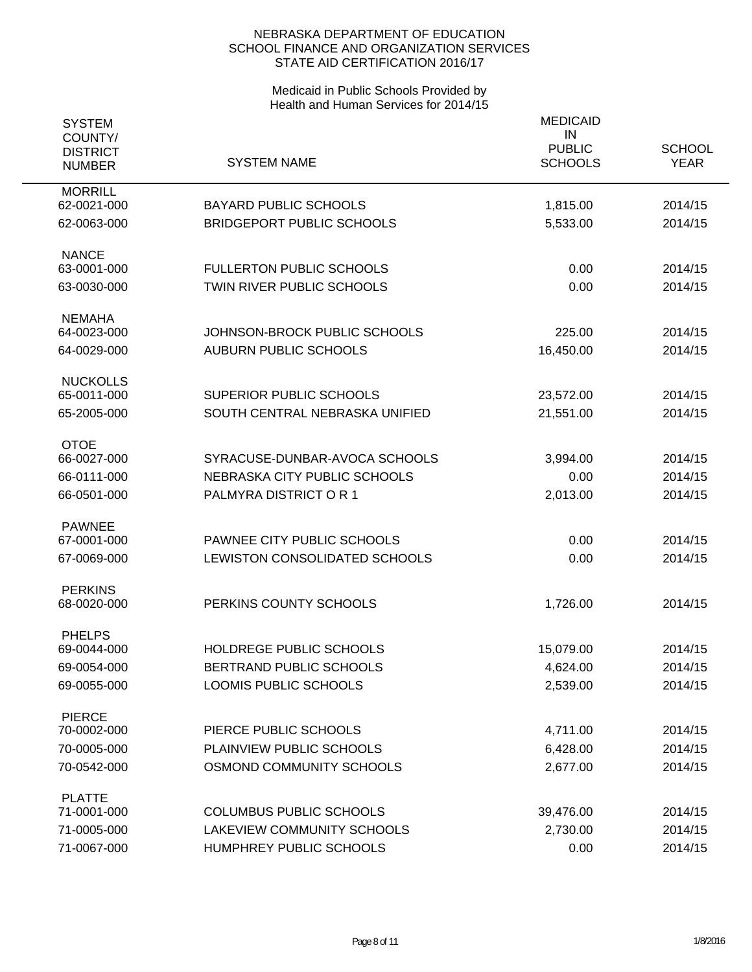| <b>SYSTEM</b><br>COUNTY/<br><b>DISTRICT</b><br><b>NUMBER</b> | <b>SYSTEM NAME</b>               | <b>MEDICAID</b><br>IN<br><b>PUBLIC</b><br><b>SCHOOLS</b> | <b>SCHOOL</b><br><b>YEAR</b> |
|--------------------------------------------------------------|----------------------------------|----------------------------------------------------------|------------------------------|
| <b>MORRILL</b><br>62-0021-000                                | <b>BAYARD PUBLIC SCHOOLS</b>     |                                                          | 2014/15                      |
|                                                              |                                  | 1,815.00                                                 |                              |
| 62-0063-000                                                  | <b>BRIDGEPORT PUBLIC SCHOOLS</b> | 5,533.00                                                 | 2014/15                      |
| <b>NANCE</b><br>63-0001-000                                  | <b>FULLERTON PUBLIC SCHOOLS</b>  | 0.00                                                     | 2014/15                      |
| 63-0030-000                                                  | TWIN RIVER PUBLIC SCHOOLS        | 0.00                                                     | 2014/15                      |
|                                                              |                                  |                                                          |                              |
| <b>NEMAHA</b><br>64-0023-000                                 | JOHNSON-BROCK PUBLIC SCHOOLS     | 225.00                                                   | 2014/15                      |
| 64-0029-000                                                  | <b>AUBURN PUBLIC SCHOOLS</b>     | 16,450.00                                                | 2014/15                      |
|                                                              |                                  |                                                          |                              |
| <b>NUCKOLLS</b><br>65-0011-000                               | <b>SUPERIOR PUBLIC SCHOOLS</b>   | 23,572.00                                                | 2014/15                      |
| 65-2005-000                                                  | SOUTH CENTRAL NEBRASKA UNIFIED   | 21,551.00                                                | 2014/15                      |
|                                                              |                                  |                                                          |                              |
| <b>OTOE</b><br>66-0027-000                                   | SYRACUSE-DUNBAR-AVOCA SCHOOLS    | 3,994.00                                                 | 2014/15                      |
| 66-0111-000                                                  | NEBRASKA CITY PUBLIC SCHOOLS     | 0.00                                                     | 2014/15                      |
| 66-0501-000                                                  | PALMYRA DISTRICT OR 1            | 2,013.00                                                 | 2014/15                      |
|                                                              |                                  |                                                          |                              |
| <b>PAWNEE</b>                                                |                                  |                                                          |                              |
| 67-0001-000                                                  | PAWNEE CITY PUBLIC SCHOOLS       | 0.00                                                     | 2014/15                      |
| 67-0069-000                                                  | LEWISTON CONSOLIDATED SCHOOLS    | 0.00                                                     | 2014/15                      |
| <b>PERKINS</b>                                               |                                  |                                                          |                              |
| 68-0020-000                                                  | PERKINS COUNTY SCHOOLS           | 1,726.00                                                 | 2014/15                      |
| <b>PHELPS</b>                                                |                                  |                                                          |                              |
| 69-0044-000                                                  | HOLDREGE PUBLIC SCHOOLS          | 15,079.00                                                | 2014/15                      |
| 69-0054-000                                                  | BERTRAND PUBLIC SCHOOLS          | 4,624.00                                                 | 2014/15                      |
| 69-0055-000                                                  | LOOMIS PUBLIC SCHOOLS            | 2,539.00                                                 | 2014/15                      |
| <b>PIERCE</b>                                                |                                  |                                                          |                              |
| 70-0002-000                                                  | PIERCE PUBLIC SCHOOLS            | 4,711.00                                                 | 2014/15                      |
| 70-0005-000                                                  | PLAINVIEW PUBLIC SCHOOLS         | 6,428.00                                                 | 2014/15                      |
| 70-0542-000                                                  | OSMOND COMMUNITY SCHOOLS         | 2,677.00                                                 | 2014/15                      |
| <b>PLATTE</b>                                                |                                  |                                                          |                              |
| 71-0001-000                                                  | <b>COLUMBUS PUBLIC SCHOOLS</b>   | 39,476.00                                                | 2014/15                      |
| 71-0005-000                                                  | LAKEVIEW COMMUNITY SCHOOLS       | 2,730.00                                                 | 2014/15                      |
| 71-0067-000                                                  | HUMPHREY PUBLIC SCHOOLS          | 0.00                                                     | 2014/15                      |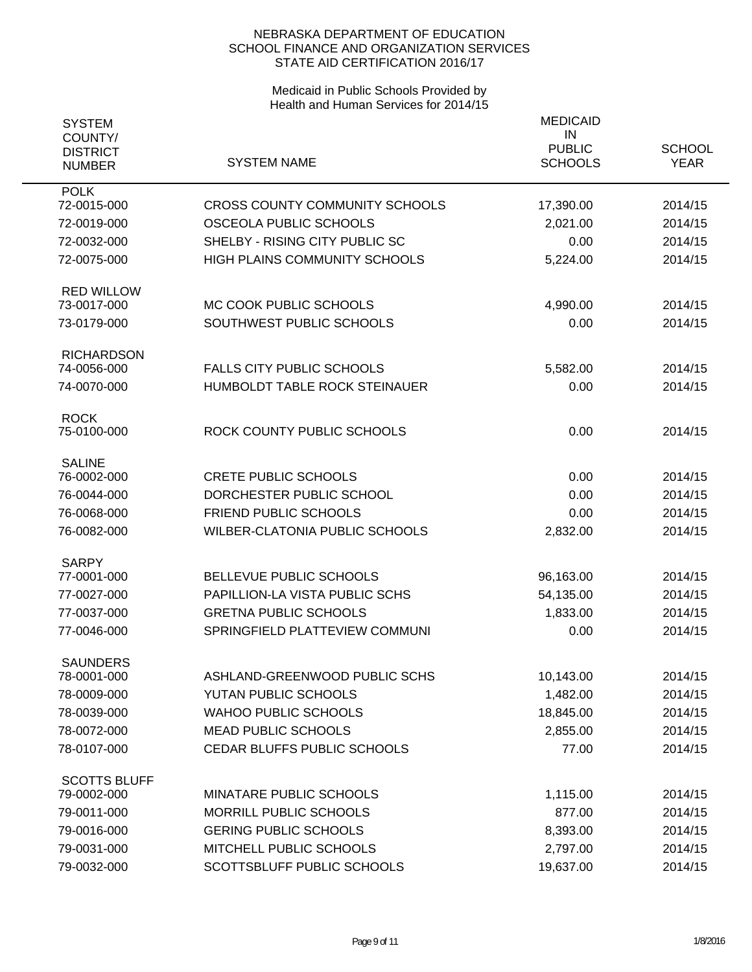| <b>SYSTEM</b><br>COUNTY/         |                                       | <b>MEDICAID</b><br>IN           |                              |
|----------------------------------|---------------------------------------|---------------------------------|------------------------------|
| <b>DISTRICT</b><br><b>NUMBER</b> | <b>SYSTEM NAME</b>                    | <b>PUBLIC</b><br><b>SCHOOLS</b> | <b>SCHOOL</b><br><b>YEAR</b> |
| <b>POLK</b><br>72-0015-000       | <b>CROSS COUNTY COMMUNITY SCHOOLS</b> |                                 | 2014/15                      |
|                                  |                                       | 17,390.00                       |                              |
| 72-0019-000                      | OSCEOLA PUBLIC SCHOOLS                | 2,021.00                        | 2014/15                      |
| 72-0032-000                      | SHELBY - RISING CITY PUBLIC SC        | 0.00                            | 2014/15                      |
| 72-0075-000                      | <b>HIGH PLAINS COMMUNITY SCHOOLS</b>  | 5,224.00                        | 2014/15                      |
| <b>RED WILLOW</b>                |                                       |                                 |                              |
| 73-0017-000                      | MC COOK PUBLIC SCHOOLS                | 4,990.00                        | 2014/15                      |
| 73-0179-000                      | SOUTHWEST PUBLIC SCHOOLS              | 0.00                            | 2014/15                      |
| <b>RICHARDSON</b>                |                                       |                                 |                              |
| 74-0056-000                      | <b>FALLS CITY PUBLIC SCHOOLS</b>      | 5,582.00                        | 2014/15                      |
| 74-0070-000                      | HUMBOLDT TABLE ROCK STEINAUER         | 0.00                            | 2014/15                      |
| <b>ROCK</b>                      |                                       |                                 |                              |
| 75-0100-000                      | ROCK COUNTY PUBLIC SCHOOLS            | 0.00                            | 2014/15                      |
| <b>SALINE</b>                    |                                       |                                 |                              |
| 76-0002-000                      | <b>CRETE PUBLIC SCHOOLS</b>           | 0.00                            | 2014/15                      |
| 76-0044-000                      | DORCHESTER PUBLIC SCHOOL              | 0.00                            | 2014/15                      |
| 76-0068-000                      | FRIEND PUBLIC SCHOOLS                 | 0.00                            | 2014/15                      |
| 76-0082-000                      | <b>WILBER-CLATONIA PUBLIC SCHOOLS</b> | 2,832.00                        | 2014/15                      |
| <b>SARPY</b>                     |                                       |                                 |                              |
| 77-0001-000                      | BELLEVUE PUBLIC SCHOOLS               | 96,163.00                       | 2014/15                      |
| 77-0027-000                      | PAPILLION-LA VISTA PUBLIC SCHS        | 54,135.00                       | 2014/15                      |
| 77-0037-000                      | <b>GRETNA PUBLIC SCHOOLS</b>          | 1,833.00                        | 2014/15                      |
| 77-0046-000                      | SPRINGFIELD PLATTEVIEW COMMUNI        | 0.00                            | 2014/15                      |
| <b>SAUNDERS</b>                  |                                       |                                 |                              |
| 78-0001-000                      | ASHLAND-GREENWOOD PUBLIC SCHS         | 10,143.00                       | 2014/15                      |
| 78-0009-000                      | YUTAN PUBLIC SCHOOLS                  | 1,482.00                        | 2014/15                      |
| 78-0039-000                      | <b>WAHOO PUBLIC SCHOOLS</b>           | 18,845.00                       | 2014/15                      |
| 78-0072-000                      | <b>MEAD PUBLIC SCHOOLS</b>            | 2,855.00                        | 2014/15                      |
| 78-0107-000                      | CEDAR BLUFFS PUBLIC SCHOOLS           | 77.00                           | 2014/15                      |
| <b>SCOTTS BLUFF</b>              |                                       |                                 |                              |
| 79-0002-000                      | MINATARE PUBLIC SCHOOLS               | 1,115.00                        | 2014/15                      |
| 79-0011-000                      | MORRILL PUBLIC SCHOOLS                | 877.00                          | 2014/15                      |
| 79-0016-000                      | <b>GERING PUBLIC SCHOOLS</b>          | 8,393.00                        | 2014/15                      |
| 79-0031-000                      | MITCHELL PUBLIC SCHOOLS               | 2,797.00                        | 2014/15                      |
| 79-0032-000                      | SCOTTSBLUFF PUBLIC SCHOOLS            | 19,637.00                       | 2014/15                      |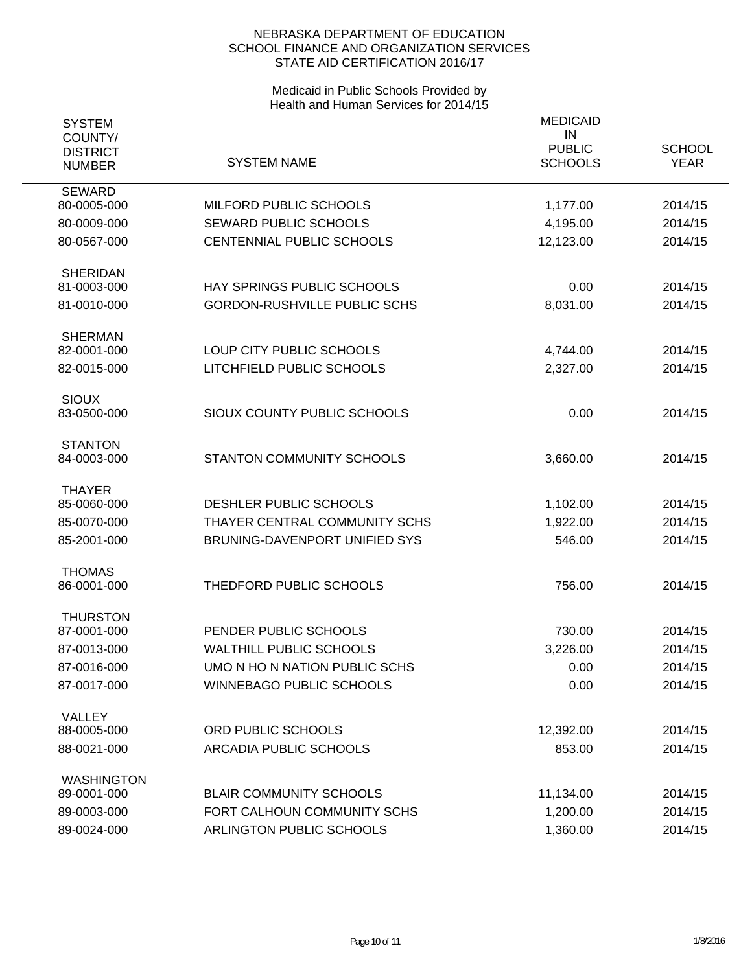| <b>SYSTEM</b><br>COUNTY/<br><b>DISTRICT</b><br><b>NUMBER</b> | <b>SYSTEM NAME</b>                                              | <b>MEDICAID</b><br>IN<br><b>PUBLIC</b><br><b>SCHOOLS</b> | <b>SCHOOL</b><br><b>YEAR</b> |
|--------------------------------------------------------------|-----------------------------------------------------------------|----------------------------------------------------------|------------------------------|
| <b>SEWARD</b>                                                |                                                                 |                                                          |                              |
| 80-0005-000                                                  | MILFORD PUBLIC SCHOOLS                                          | 1,177.00                                                 | 2014/15                      |
| 80-0009-000                                                  | <b>SEWARD PUBLIC SCHOOLS</b>                                    | 4,195.00                                                 | 2014/15                      |
| 80-0567-000                                                  | CENTENNIAL PUBLIC SCHOOLS                                       | 12,123.00                                                | 2014/15                      |
| <b>SHERIDAN</b>                                              |                                                                 |                                                          |                              |
| 81-0003-000                                                  | HAY SPRINGS PUBLIC SCHOOLS                                      | 0.00                                                     | 2014/15                      |
| 81-0010-000                                                  | <b>GORDON-RUSHVILLE PUBLIC SCHS</b>                             | 8,031.00                                                 | 2014/15                      |
| <b>SHERMAN</b><br>82-0001-000                                | LOUP CITY PUBLIC SCHOOLS                                        | 4,744.00                                                 | 2014/15                      |
| 82-0015-000                                                  | LITCHFIELD PUBLIC SCHOOLS                                       | 2,327.00                                                 | 2014/15                      |
|                                                              |                                                                 |                                                          |                              |
| <b>SIOUX</b><br>83-0500-000                                  | SIOUX COUNTY PUBLIC SCHOOLS                                     | 0.00                                                     | 2014/15                      |
|                                                              |                                                                 |                                                          |                              |
| <b>STANTON</b><br>84-0003-000                                | STANTON COMMUNITY SCHOOLS                                       | 3,660.00                                                 | 2014/15                      |
|                                                              |                                                                 |                                                          |                              |
| <b>THAYER</b><br>85-0060-000                                 | DESHLER PUBLIC SCHOOLS                                          | 1,102.00                                                 | 2014/15                      |
| 85-0070-000                                                  | THAYER CENTRAL COMMUNITY SCHS                                   | 1,922.00                                                 | 2014/15                      |
| 85-2001-000                                                  | BRUNING-DAVENPORT UNIFIED SYS                                   | 546.00                                                   | 2014/15                      |
|                                                              |                                                                 |                                                          |                              |
| <b>THOMAS</b>                                                |                                                                 |                                                          |                              |
| 86-0001-000                                                  | THEDFORD PUBLIC SCHOOLS                                         | 756.00                                                   | 2014/15                      |
| <b>THURSTON</b>                                              | PENDER PUBLIC SCHOOLS                                           |                                                          |                              |
| 87-0001-000<br>87-0013-000                                   |                                                                 | 730.00                                                   | 2014/15                      |
| 87-0016-000                                                  | <b>WALTHILL PUBLIC SCHOOLS</b><br>UMO N HO N NATION PUBLIC SCHS | 3,226.00<br>0.00                                         | 2014/15<br>2014/15           |
| 87-0017-000                                                  | <b>WINNEBAGO PUBLIC SCHOOLS</b>                                 | 0.00                                                     | 2014/15                      |
|                                                              |                                                                 |                                                          |                              |
| <b>VALLEY</b><br>88-0005-000                                 | ORD PUBLIC SCHOOLS                                              | 12,392.00                                                | 2014/15                      |
| 88-0021-000                                                  | ARCADIA PUBLIC SCHOOLS                                          | 853.00                                                   | 2014/15                      |
|                                                              |                                                                 |                                                          |                              |
| <b>WASHINGTON</b><br>89-0001-000                             | <b>BLAIR COMMUNITY SCHOOLS</b>                                  | 11,134.00                                                | 2014/15                      |
| 89-0003-000                                                  | FORT CALHOUN COMMUNITY SCHS                                     | 1,200.00                                                 | 2014/15                      |
| 89-0024-000                                                  | ARLINGTON PUBLIC SCHOOLS                                        | 1,360.00                                                 | 2014/15                      |
|                                                              |                                                                 |                                                          |                              |